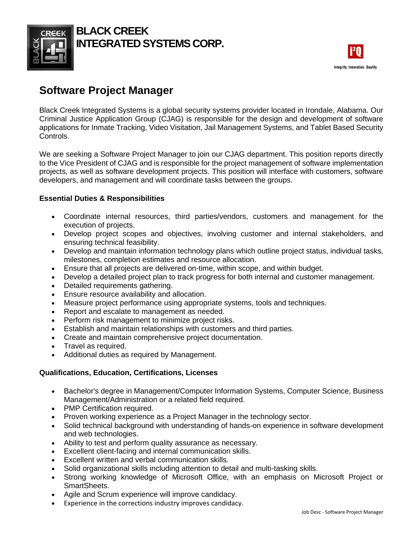

## **BLACK CREEK INTEGRATED SYSTEMS CORP.**



# **Software Project Manager**

Black Creek Integrated Systems is a global security systems provider located in Irondale, Alabama. Our Criminal Justice Application Group (CJAG) is responsible for the design and development of software applications for Inmate Tracking, Video Visitation, Jail Management Systems, and Tablet Based Security Controls.

We are seeking a Software Project Manager to join our CJAG department. This position reports directly to the Vice President of CJAG and is responsible for the project management of software implementation projects, as well as software development projects. This position will interface with customers, software developers, and management and will coordinate tasks between the groups.

### **Essential Duties & Responsibilities**

- Coordinate internal resources, third parties/vendors, customers and management for the execution of projects.
- Develop project scopes and objectives, involving customer and internal stakeholders, and ensuring technical feasibility.
- Develop and maintain information technology plans which outline project status, individual tasks, milestones, completion estimates and resource allocation.
- Ensure that all projects are delivered on-time, within scope, and within budget.
- Develop a detailed project plan to track progress for both internal and customer management.
- Detailed requirements gathering.
- Ensure resource availability and allocation.
- Measure project performance using appropriate systems, tools and techniques.
- Report and escalate to management as needed.
- Perform risk management to minimize project risks.
- Establish and maintain relationships with customers and third parties.
- Create and maintain comprehensive project documentation.
- Travel as required.
- Additional duties as required by Management.

#### **Qualifications, Education, Certifications, Licenses**

- Bachelor's degree in Management/Computer Information Systems, Computer Science, Business Management/Administration or a related field required.
- PMP Certification required.
- Proven working experience as a Project Manager in the technology sector.
- Solid technical background with understanding of hands-on experience in software development and web technologies.
- Ability to test and perform quality assurance as necessary.
- Excellent client-facing and internal communication skills.
- Excellent written and verbal communication skills.
- Solid organizational skills including attention to detail and multi-tasking skills.
- Strong working knowledge of Microsoft Office, with an emphasis on Microsoft Project or SmartSheets.
- Agile and Scrum experience will improve candidacy.
- Experience in the corrections industry improves candidacy.